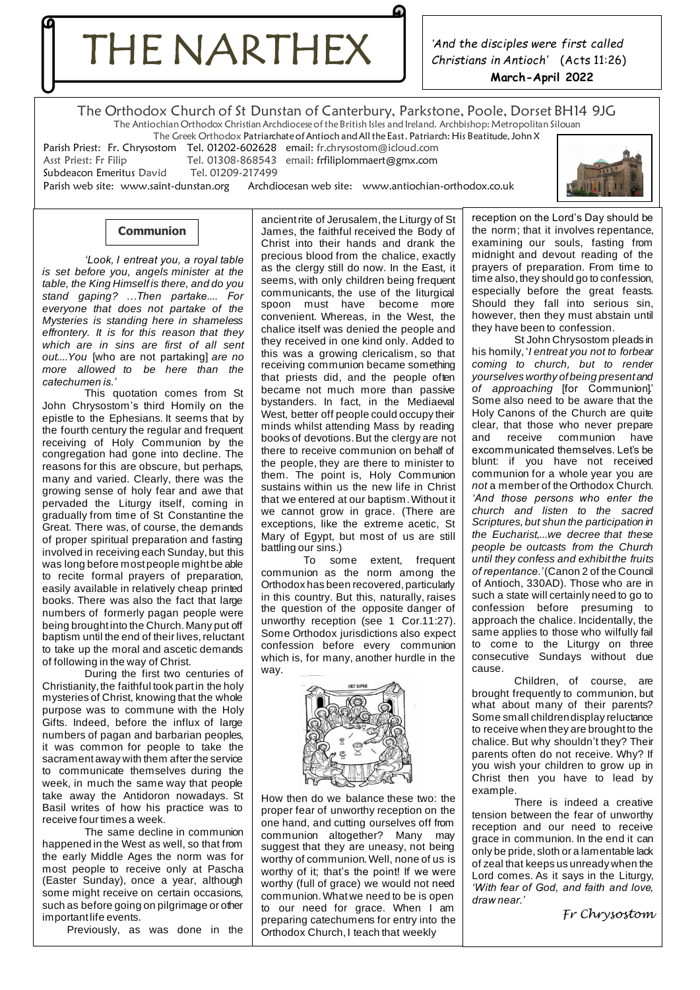THE NARTHEX

*'And the disciples were first called Christians in Antioch'* (Acts 11:26) **March-April 2022**

The Orthodox Church of St Dunstan of Canterbury, Parkstone, Poole, Dorset BH14 9JG The Antiochian Orthodox Christian Archdiocese of the British Isles and Ireland. Archbishop: Metropolitan Silouan

The Greek Orthodox Patriarchate of Antioch and All the East. Patriarch: His Beatitude, John X

Parish Priest: Fr. Chrysostom Tel. 01202-602628 email: fr.chrysostom@icloud.com

Subdeacon Emeritus David Tel. 0120<br>Parish web site: www.saint-dunstan.org

Tel. 01308-868543 email: fr fili[plommaert@gmx.com](mailto:lommaert@gmx.com)<br>Tel. 01209-217499 Archdiocesan web site: [www.antiochian-orthodox.co.uk](http://www.antiochian-orthodox.co.uk/)



# **Communion**

*'Look, I entreat you, a royal table is set before you, angels minister at the table, the King Himself is there, and do you stand gaping? …Then partake.... For everyone that does not partake of the Mysteries is standing here in shameless effrontery. It is for this reason that they which are in sins are first of all sent out....You* [who are not partaking] *are no more allowed to be here than the catechumen is.'*

This quotation comes from St John Chrysostom's third Homily on the epistle to the Ephesians. It seems that by the fourth century the regular and frequent receiving of Holy Communion by the congregation had gone into decline. The reasons for this are obscure, but perhaps, many and varied. Clearly, there was the growing sense of holy fear and awe that pervaded the Liturgy itself, coming in gradually from time of St Constantine the Great. There was, of course, the demands of proper spiritual preparation and fasting involved in receiving each Sunday, but this was long before most people might be able to recite formal prayers of preparation, easily available in relatively cheap printed books. There was also the fact that large numbers of formerly pagan people were being brought into the Church. Many put off baptism until the end of their lives, reluctant to take up the moral and ascetic demands of following in the way of Christ.

During the first two centuries of Christianity, the faithful took part in the holy mysteries of Christ, knowing that the whole purpose was to commune with the Holy Gifts. Indeed, before the influx of large numbers of pagan and barbarian peoples, it was common for people to take the sacrament away with them after the service to communicate themselves during the week, in much the same way that people take away the Antidoron nowadays. St Basil writes of how his practice was to receive four times a week.

The same decline in communion happened in the West as well, so that from the early Middle Ages the norm was for most people to receive only at Pascha (Easter Sunday), once a year, although some might receive on certain occasions, such as before going on pilgrimage or other important life events.

Previously, as was done in the

ancient rite of Jerusalem, the Liturgy of St James, the faithful received the Body of Christ into their hands and drank the precious blood from the chalice, exactly as the clergy still do now. In the East, it seems, with only children being frequent communicants, the use of the liturgical spoon must have become more convenient. Whereas, in the West, the chalice itself was denied the people and they received in one kind only. Added to this was a growing clericalism, so that receiving communion became something that priests did, and the people often became not much more than passive bystanders. In fact, in the Mediaeval West, better off people could occupy their minds whilst attending Mass by reading books of devotions. But the clergy are not there to receive communion on behalf of the people, they are there to minister to them. The point is, Holy Communion sustains within us the new life in Christ that we entered at our baptism.Without it we cannot grow in grace. (There are exceptions, like the extreme acetic, St Mary of Egypt, but most of us are still battling our sins.)

To some extent, frequent communion as the norm among the Orthodox has been recovered, particularly in this country. But this, naturally, raises the question of the opposite danger of unworthy reception (see 1 Cor.11:27). Some Orthodox jurisdictions also expect confession before every communion which is, for many, another hurdle in the way.



How then do we balance these two: the proper fear of unworthy reception on the one hand, and cutting ourselves off from communion altogether? Many may suggest that they are uneasy, not being worthy of communion. Well, none of us is worthy of it; that's the point! If we were worthy (full of grace) we would not need communion. What we need to be is open to our need for grace. When I am preparing catechumens for entry into the Orthodox Church, I teach that weekly

reception on the Lord's Day should be the norm; that it involves repentance, examining our souls, fasting from midnight and devout reading of the prayers of preparation. From time to time also, they should go to confession, especially before the great feasts. Should they fall into serious sin, however, then they must abstain until they have been to confession.

St John Chrysostom pleads in his homily, '*I entreat you not to forbear coming to church, but to render yourselves worthy of being present and of approaching* [for Communion].' Some also need to be aware that the Holy Canons of the Church are quite clear, that those who never prepare<br>and receive communion have communion have excommunicated themselves. Let's be blunt: if you have not received communion for a whole year you are *not* a member of the Orthodox Church. *'And those persons who enter the church and listen to the sacred Scriptures, but shun the participation in the Eucharist,...we decree that these people be outcasts from the Church until they confess and exhibit the fruits of repentance.'*(Canon 2 of the Council of Antioch, 330AD). Those who are in such a state will certainly need to go to confession before presuming to approach the chalice. Incidentally, the same applies to those who wilfully fail to come to the Liturgy on three consecutive Sundays without due cause.

Children, of course, are brought frequently to communion, but what about many of their parents? Some small children display reluctance to receive when they are brought to the chalice. But why shouldn't they? Their parents often do not receive. Why? If you wish your children to grow up in Christ then you have to lead by example.

There is indeed a creative tension between the fear of unworthy reception and our need to receive grace in communion. In the end it can only be pride, sloth or a lamentable lack of zeal that keeps us unready when the Lord comes. As it says in the Liturgy, *'With fear of God, and faith and love, draw near.'*

*Fr Chrysostom*